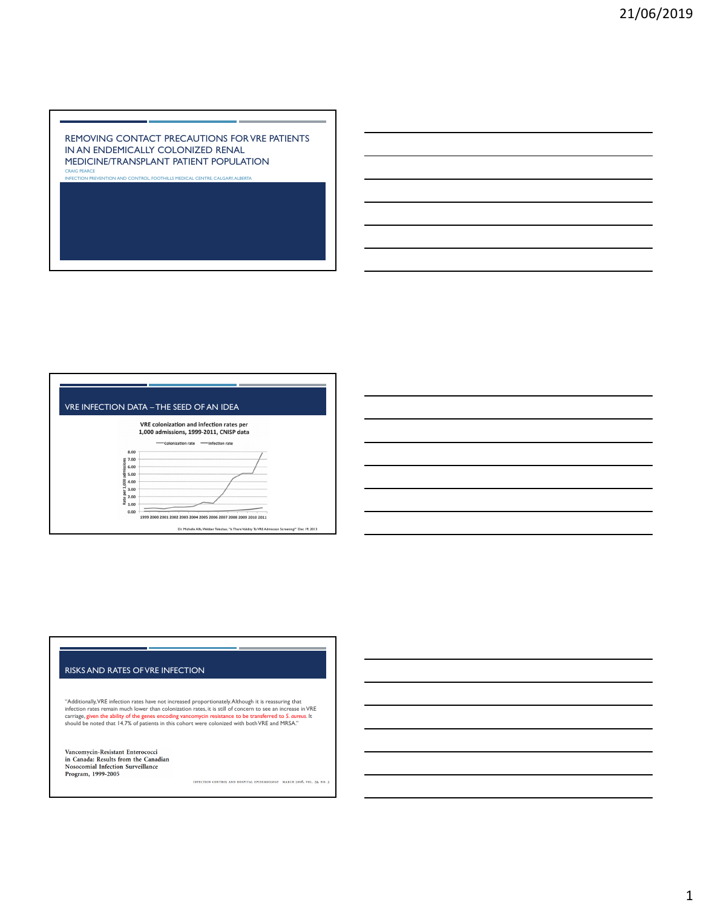#### REMOVING CONTACT PRECAUTIONS FOR VRE PATIENTS IN AN ENDEMICALLY COLONIZED RENAL MEDICINE/TRANSPLANT PATIENT POPULATION CRAIG PEARCE

INFECTION PREVENTION AND CONTROL, FOOTHILLS MEDICAL CENTRE, CALGARY, ALBERTA



## RISKS AND RATES OF VRE INFECTION

"Additionally,VRE infection rates have not increased proportionately.Although it is reassuring that<br>infection rates remain much lower than colonization rates, it is still of concern to see an increase in VRE<br>carriage, give

Vancomycin-Resistant Enterococci in Canada: Results from the Canadian<br>Nosocomial Infection Surveillance Program, 1999-2005

INFECTION CONTROL AND HOSPITAL EPIDEMIOLOGY MARCH 2008, VOL. 29, NO. 3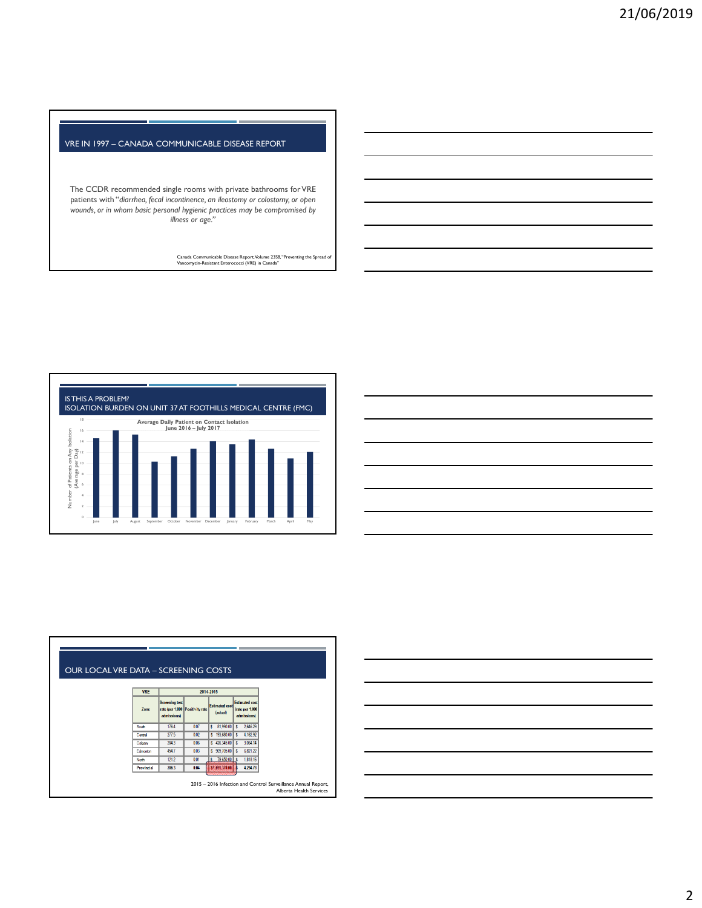## VRE IN 1997 – CANADA COMMUNICABLE DISEASE REPORT

The CCDR recommended single rooms with private bathrooms for VRE patients with "*diarrhea, fecal incontinence, an ileostomy or colostomy, or open wounds, or in whom basic personal hygienic practices may be compromised by illness or age."*

Canada Communicable Disease Report, Volume 23S8, "Preventing the Spread of Vancomycin-Resistant Enterococci (VRE) in Canada"



| <u> 1989 - Johann Harry Harry Harry Harry Harry Harry Harry Harry Harry Harry Harry Harry Harry Harry Harry Harry</u> |  |  |  |
|-----------------------------------------------------------------------------------------------------------------------|--|--|--|
| <u> 1989 - Johann Stoff, deutscher Stoff, der Stoff, der Stoff, der Stoff, der Stoff, der Stoff, der Stoff, der S</u> |  |  |  |
| <u> 1989 - Johann Barn, amerikan bernama di sebagai bernama dan bernama di sebagai bernama di sebagai bernama di</u>  |  |  |  |
| <u> 1989 - Johann Barn, mars ann an t-Amhainn an t-Amhainn an t-Amhainn an t-Amhainn an t-Amhainn an t-Amhainn an</u> |  |  |  |
| <u> 1989 - Johann Stoff, deutscher Stoff, der Stoff, der Stoff, der Stoff, der Stoff, der Stoff, der Stoff, der S</u> |  |  |  |
| <u> 1989 - Johann Stoff, deutscher Stoff, der Stoff, der Stoff, der Stoff, der Stoff, der Stoff, der Stoff, der S</u> |  |  |  |
| <u> 1989 - Johann Barn, mars ann an t-Amhainn an t-Amhainn an t-Amhainn an t-Amhainn an t-Amhainn an t-Amhainn an</u> |  |  |  |
|                                                                                                                       |  |  |  |

| <b>OUR LOCAL VRE DATA - SCREENING COSTS</b> |                   |                                                                         |      |                                   |                                                         |                                                                                                 |
|---------------------------------------------|-------------------|-------------------------------------------------------------------------|------|-----------------------------------|---------------------------------------------------------|-------------------------------------------------------------------------------------------------|
|                                             | <b>VRE</b>        | 2014-2015                                                               |      |                                   |                                                         |                                                                                                 |
|                                             | <b>Zone</b>       | <b>Screening test</b><br>rate (per 1,000 Positivity rate<br>admissions) |      | <b>Estimated cost</b><br>(actual) | <b>Estimated cost</b><br>(rate per 1,000<br>admissions) |                                                                                                 |
|                                             | South             | 1764                                                                    | 0.07 | $81.990.00$ $\frac{8}{5}$<br>s    | 2.646.29                                                |                                                                                                 |
|                                             | Central           | 277.5                                                                   | 0.02 | \$193,680.00                      | 4, 162.92<br>۱s                                         |                                                                                                 |
|                                             | Calgary           | 204.3                                                                   | 0.06 | $$426,345.00$ \$                  | 3,064.14                                                |                                                                                                 |
|                                             | Edmonton          | 454.7                                                                   | 0.03 | $S = 909,705.00$ $S$              | 6,821.22                                                |                                                                                                 |
|                                             | North             | 121.2                                                                   | 0.01 | 79,650.00 S<br>ls.                | 1,818.16                                                |                                                                                                 |
|                                             | <b>Provincial</b> | 286.3                                                                   | 0.04 | \$1,691,370.00                    | 4,294.78                                                |                                                                                                 |
|                                             |                   |                                                                         |      |                                   |                                                         | 2015 - 2016 Infection and Control Surveillance Annual Report,<br><b>Alberta Health Services</b> |

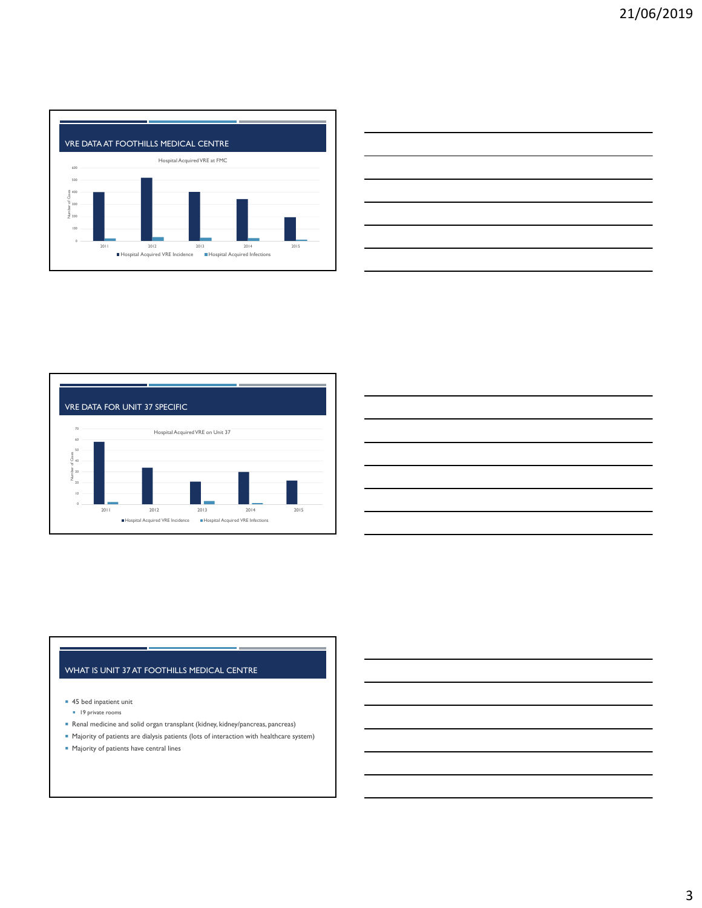

|  | _____ |
|--|-------|
|  | __    |
|  |       |
|  |       |





# WHAT IS UNIT 37 AT FOOTHILLS MEDICAL CENTRE

■ 45 bed inpatient unit

- <sup>1</sup> 19 private rooms
- Renal medicine and solid organ transplant (kidney, kidney/pancreas, pancreas)
- Majority of patients are dialysis patients (lots of interaction with healthcare system)
- **Majority of patients have central lines**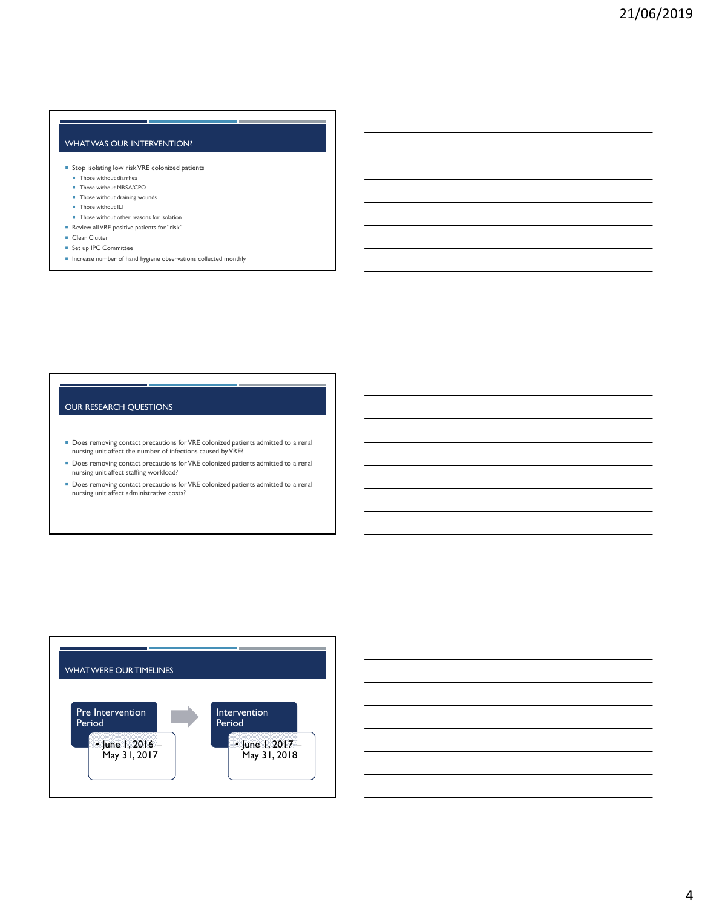# WHAT WAS OUR INTERVENTION?

- Stop isolating low risk VRE colonized patients
	- **Those without diarrhea**
	- Those without MRSA/CPO
- Those without draining wounds **Those without ILI**
- 
- **Those without other reasons for isolation**
- Review all VRE positive patients for "risk"
- Clear Clutter
- Set up IPC Committee
- $\blacksquare$  Increase number of hand hygiene observations collected monthly

#### OUR RESEARCH QUESTIONS

- Does removing contact precautions for VRE colonized patients admitted to a renal nursing unit affect the number of infections caused by VRE?
- Does removing contact precautions for VRE colonized patients admitted to a renal nursing unit affect staffing workload?
- Does removing contact precautions for VRE colonized patients admitted to a renal nursing unit affect administrative costs?



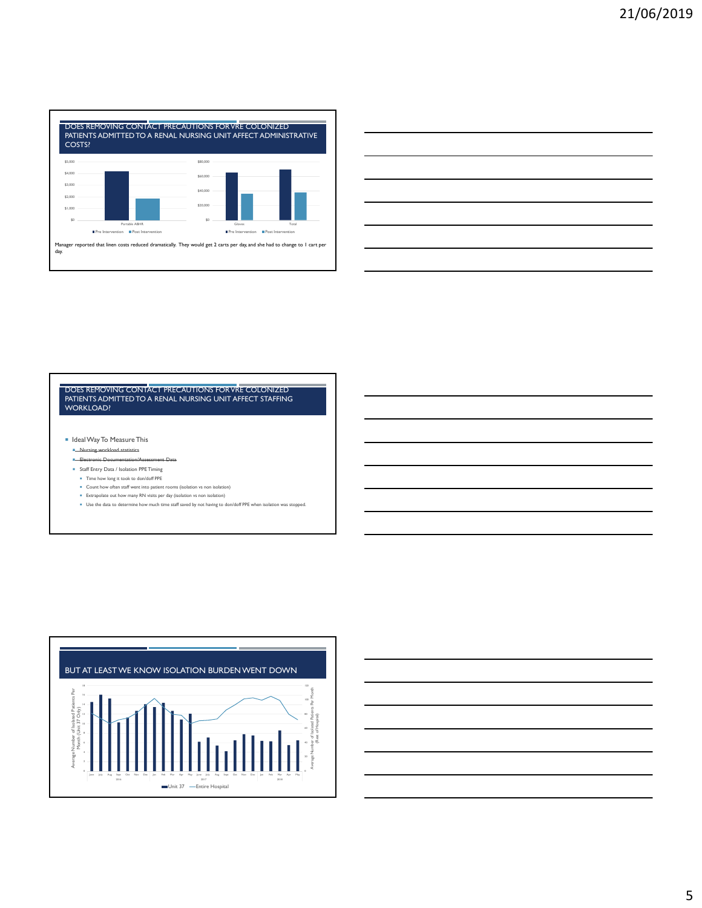

# DOES REMOVING CONTACT PRECAUTIONS FOR VRE COLONIZED PATIENTS ADMITTED TO A RENAL NURSING UNIT AFFECT STAFFING WORKLOAD?

I Ideal Way To Measure This

- **Nursing workload statistics**
- **Electronic Documentation/Assessment Data**
- **B** Staff Entry Data / Isolation PPE Timing Time how long it took to don/doff PPE
- 
- Count how often staff went into patient rooms (isolation vs non isolation) Extrapolate out how many RN visits per day (isolation vs non isolation)
- Use the data to determine how much time staff saved by not having to don/doff PPE when isolation was stopped.